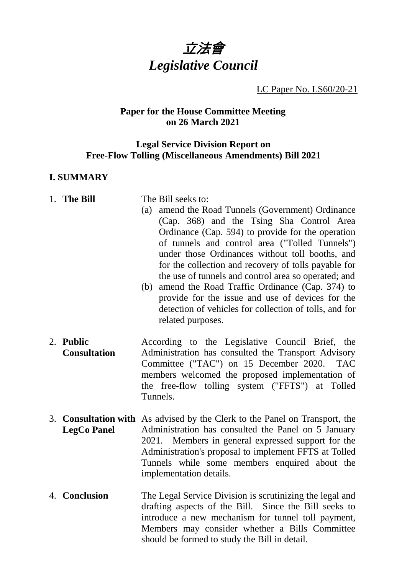

LC Paper No. LS60/20-21

#### **Paper for the House Committee Meeting on 26 March 2021**

#### **Legal Service Division Report on Free-Flow Tolling (Miscellaneous Amendments) Bill 2021**

#### **I. SUMMARY**

- 1. **The Bill** The Bill seeks to:
	- (a) amend the Road Tunnels (Government) Ordinance (Cap. 368) and the Tsing Sha Control Area Ordinance (Cap. 594) to provide for the operation of tunnels and control area ("Tolled Tunnels") under those Ordinances without toll booths, and for the collection and recovery of tolls payable for the use of tunnels and control area so operated; and
	- (b) amend the Road Traffic Ordinance (Cap. 374) to provide for the issue and use of devices for the detection of vehicles for collection of tolls, and for related purposes.
- 2. **Public Consultation** According to the Legislative Council Brief, the Administration has consulted the Transport Advisory Committee ("TAC") on 15 December 2020. TAC members welcomed the proposed implementation of the free-flow tolling system ("FFTS") at Tolled Tunnels.
- 3. **Consultation with** As advised by the Clerk to the Panel on Transport, the **LegCo Panel** Administration has consulted the Panel on 5 January 2021. Members in general expressed support for the Administration's proposal to implement FFTS at Tolled Tunnels while some members enquired about the implementation details.
- 4. **Conclusion** The Legal Service Division is scrutinizing the legal and drafting aspects of the Bill. Since the Bill seeks to introduce a new mechanism for tunnel toll payment, Members may consider whether a Bills Committee should be formed to study the Bill in detail.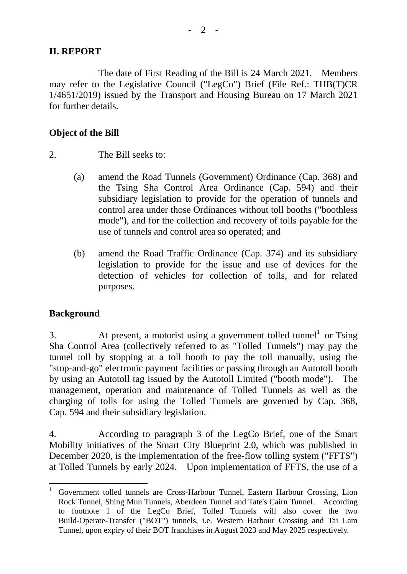## **II. REPORT**

The date of First Reading of the Bill is 24 March 2021. Members may refer to the Legislative Council ("LegCo") Brief (File Ref.: THB(T)CR 1/4651/2019) issued by the Transport and Housing Bureau on 17 March 2021 for further details.

## **Object of the Bill**

- 2. The Bill seeks to:
	- (a) amend the Road Tunnels (Government) Ordinance (Cap. 368) and the Tsing Sha Control Area Ordinance (Cap. 594) and their subsidiary legislation to provide for the operation of tunnels and control area under those Ordinances without toll booths ("boothless mode"), and for the collection and recovery of tolls payable for the use of tunnels and control area so operated; and
	- (b) amend the Road Traffic Ordinance (Cap. 374) and its subsidiary legislation to provide for the issue and use of devices for the detection of vehicles for collection of tolls, and for related purposes.

## **Background**

 $\overline{a}$ 

3. At present, a motorist using a government tolled tunnel<sup>1</sup> or Tsing Sha Control Area (collectively referred to as "Tolled Tunnels") may pay the tunnel toll by stopping at a toll booth to pay the toll manually, using the "stop-and-go" electronic payment facilities or passing through an Autotoll booth by using an Autotoll tag issued by the Autotoll Limited ("booth mode"). The management, operation and maintenance of Tolled Tunnels as well as the charging of tolls for using the Tolled Tunnels are governed by Cap. 368, Cap. 594 and their subsidiary legislation.

4. According to paragraph 3 of the LegCo Brief, one of the Smart Mobility initiatives of the Smart City Blueprint 2.0, which was published in December 2020, is the implementation of the free-flow tolling system ("FFTS") at Tolled Tunnels by early 2024. Upon implementation of FFTS, the use of a

<sup>1</sup> Government tolled tunnels are Cross-Harbour Tunnel, Eastern Harbour Crossing, Lion Rock Tunnel, Shing Mun Tunnels, Aberdeen Tunnel and Tate's Cairn Tunnel. According to footnote 1 of the LegCo Brief, Tolled Tunnels will also cover the two Build-Operate-Transfer ("BOT") tunnels, i.e. Western Harbour Crossing and Tai Lam Tunnel, upon expiry of their BOT franchises in August 2023 and May 2025 respectively.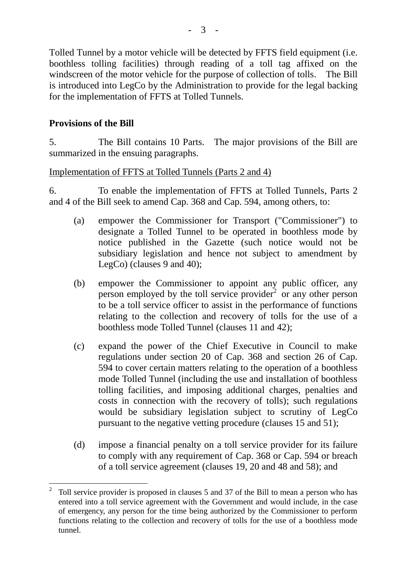Tolled Tunnel by a motor vehicle will be detected by FFTS field equipment (i.e. boothless tolling facilities) through reading of a toll tag affixed on the windscreen of the motor vehicle for the purpose of collection of tolls. The Bill is introduced into LegCo by the Administration to provide for the legal backing for the implementation of FFTS at Tolled Tunnels.

# **Provisions of the Bill**

 $\overline{a}$ 

5. The Bill contains 10 Parts. The major provisions of the Bill are summarized in the ensuing paragraphs.

## Implementation of FFTS at Tolled Tunnels (Parts 2 and 4)

6. To enable the implementation of FFTS at Tolled Tunnels, Parts 2 and 4 of the Bill seek to amend Cap. 368 and Cap. 594, among others, to:

- (a) empower the Commissioner for Transport ("Commissioner") to designate a Tolled Tunnel to be operated in boothless mode by notice published in the Gazette (such notice would not be subsidiary legislation and hence not subject to amendment by LegCo) (clauses 9 and 40);
- (b) empower the Commissioner to appoint any public officer, any person employed by the toll service provider<sup>2</sup> or any other person to be a toll service officer to assist in the performance of functions relating to the collection and recovery of tolls for the use of a boothless mode Tolled Tunnel (clauses 11 and 42);
- (c) expand the power of the Chief Executive in Council to make regulations under section 20 of Cap. 368 and section 26 of Cap. 594 to cover certain matters relating to the operation of a boothless mode Tolled Tunnel (including the use and installation of boothless tolling facilities, and imposing additional charges, penalties and costs in connection with the recovery of tolls); such regulations would be subsidiary legislation subject to scrutiny of LegCo pursuant to the negative vetting procedure (clauses 15 and 51);
- (d) impose a financial penalty on a toll service provider for its failure to comply with any requirement of Cap. 368 or Cap. 594 or breach of a toll service agreement (clauses 19, 20 and 48 and 58); and

<sup>2</sup> Toll service provider is proposed in clauses 5 and 37 of the Bill to mean a person who has entered into a toll service agreement with the Government and would include, in the case of emergency, any person for the time being authorized by the Commissioner to perform functions relating to the collection and recovery of tolls for the use of a boothless mode tunnel.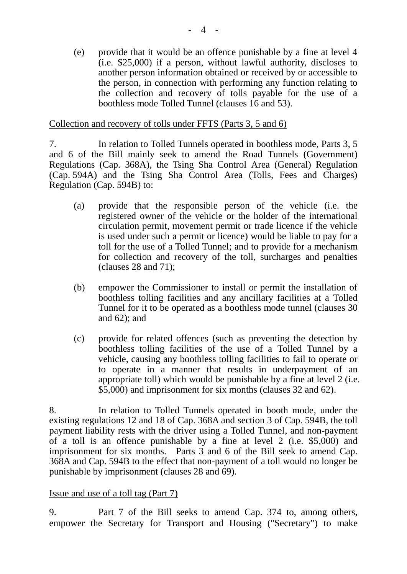(e) provide that it would be an offence punishable by a fine at level 4 (i.e. \$25,000) if a person, without lawful authority, discloses to another person information obtained or received by or accessible to the person, in connection with performing any function relating to the collection and recovery of tolls payable for the use of a boothless mode Tolled Tunnel (clauses 16 and 53).

#### Collection and recovery of tolls under FFTS (Parts 3, 5 and 6)

7. In relation to Tolled Tunnels operated in boothless mode, Parts 3, 5 and 6 of the Bill mainly seek to amend the Road Tunnels (Government) Regulations (Cap. 368A), the Tsing Sha Control Area (General) Regulation (Cap. 594A) and the Tsing Sha Control Area (Tolls, Fees and Charges) Regulation (Cap. 594B) to:

- (a) provide that the responsible person of the vehicle (i.e. the registered owner of the vehicle or the holder of the international circulation permit, movement permit or trade licence if the vehicle is used under such a permit or licence) would be liable to pay for a toll for the use of a Tolled Tunnel; and to provide for a mechanism for collection and recovery of the toll, surcharges and penalties (clauses 28 and 71);
- (b) empower the Commissioner to install or permit the installation of boothless tolling facilities and any ancillary facilities at a Tolled Tunnel for it to be operated as a boothless mode tunnel (clauses 30 and 62); and
- (c) provide for related offences (such as preventing the detection by boothless tolling facilities of the use of a Tolled Tunnel by a vehicle, causing any boothless tolling facilities to fail to operate or to operate in a manner that results in underpayment of an appropriate toll) which would be punishable by a fine at level 2 (i.e. \$5,000) and imprisonment for six months (clauses 32 and 62).

8. In relation to Tolled Tunnels operated in booth mode, under the existing regulations 12 and 18 of Cap. 368A and section 3 of Cap. 594B, the toll payment liability rests with the driver using a Tolled Tunnel, and non-payment of a toll is an offence punishable by a fine at level 2 (i.e. \$5,000) and imprisonment for six months. Parts 3 and 6 of the Bill seek to amend Cap. 368A and Cap. 594B to the effect that non-payment of a toll would no longer be punishable by imprisonment (clauses 28 and 69).

## Issue and use of a toll tag (Part 7)

9. Part 7 of the Bill seeks to amend Cap. 374 to, among others, empower the Secretary for Transport and Housing ("Secretary") to make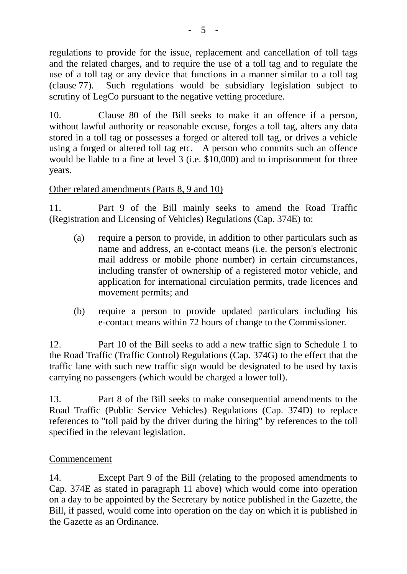regulations to provide for the issue, replacement and cancellation of toll tags and the related charges, and to require the use of a toll tag and to regulate the use of a toll tag or any device that functions in a manner similar to a toll tag (clause 77). Such regulations would be subsidiary legislation subject to scrutiny of LegCo pursuant to the negative vetting procedure.

10. Clause 80 of the Bill seeks to make it an offence if a person, without lawful authority or reasonable excuse, forges a toll tag, alters any data stored in a toll tag or possesses a forged or altered toll tag, or drives a vehicle using a forged or altered toll tag etc. A person who commits such an offence would be liable to a fine at level 3 (i.e. \$10,000) and to imprisonment for three years.

# Other related amendments (Parts 8, 9 and 10)

11. Part 9 of the Bill mainly seeks to amend the Road Traffic (Registration and Licensing of Vehicles) Regulations (Cap. 374E) to:

- (a) require a person to provide, in addition to other particulars such as name and address, an e-contact means (i.e. the person's electronic mail address or mobile phone number) in certain circumstances, including transfer of ownership of a registered motor vehicle, and application for international circulation permits, trade licences and movement permits; and
- (b) require a person to provide updated particulars including his e-contact means within 72 hours of change to the Commissioner.

12. Part 10 of the Bill seeks to add a new traffic sign to Schedule 1 to the Road Traffic (Traffic Control) Regulations (Cap. 374G) to the effect that the traffic lane with such new traffic sign would be designated to be used by taxis carrying no passengers (which would be charged a lower toll).

13. Part 8 of the Bill seeks to make consequential amendments to the Road Traffic (Public Service Vehicles) Regulations (Cap. 374D) to replace references to "toll paid by the driver during the hiring" by references to the toll specified in the relevant legislation.

# Commencement

14. Except Part 9 of the Bill (relating to the proposed amendments to Cap. 374E as stated in paragraph 11 above) which would come into operation on a day to be appointed by the Secretary by notice published in the Gazette, the Bill, if passed, would come into operation on the day on which it is published in the Gazette as an Ordinance.